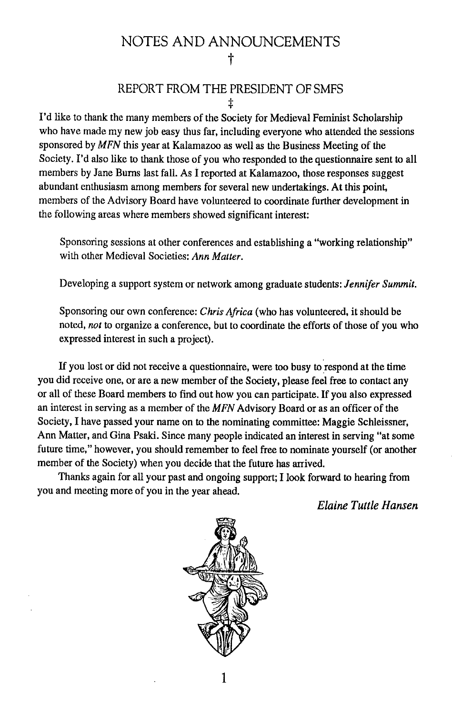## NOTES AND ANNOUNCEMENTS t

#### REPORT FROM THE PRESIDENT OF SMFS :j:

I'd like to thank the many members of the Society for Medieval Feminist Scholarship who have made my new job easy thus far, including everyone who attended the sessions sponsored by MFN this year at Kalamazoo as well as the Business Meeting of the Society. I'd also like to thank those of you who responded to the questionnaire sent to all members by Jane Burns last fall. As I reported at Kalamazoo, those responses suggest abundant enthusiasm among members for several new undertakings. At this point, members of the Advisory Board have volunteered to coordinate further development in the following areas where members showed significant interest:

Sponsoring sessions at other conferences and establishing a "working relationship" with other Medieval Societies: *Ann Matter.* 

Developing a support system or network among graduate students: *Jennifer Summit.* 

Sponsoring our own conference: *Chris Africa* (who has volunteered, it should be noted, *not* to organize a conference, but to coordinate the efforts of those of you who expressed interest in such a project).

If you lost or did not receive a questionnaire, were too busy to respond at the time you did receive one, or are a new member of the Society, please feel free to contact any or all of these Board members to find out how you can participate. If you also expressed an interest in serving as a member of the MFN Advisory Board or as an officer of the Society, I have passed your name on to the nominating committee: Maggie Schleissner, Ann Matter, and Gina Psaki. Since many people indicated an interest in serving "at some future time," however, you should remember to feel free to nominate yourself (or another member of the Society) when you decide that the future has arrived.

Thanks again for all your past and ongoing support; I look forward to hearing from you and meeting more of you in the year ahead.

*Elaine Tuttle Hansen* 



1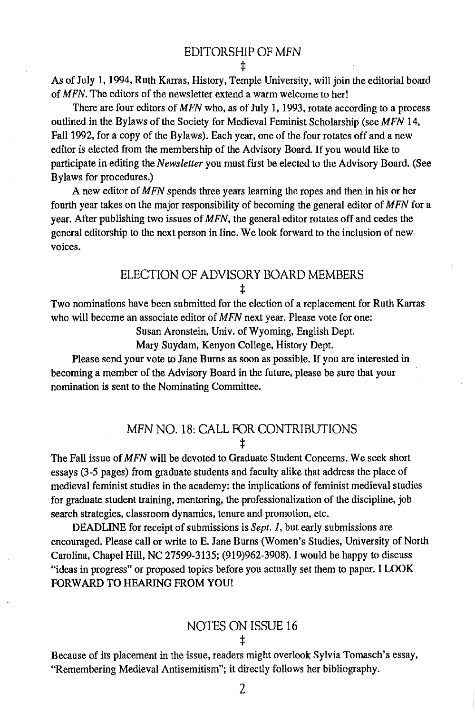:j:

As of July 1, 1994, Ruth Karras, History, Temple University, will join the editorial board of MFN. The editors of the newsletter extend a warm welcome to her!

There are four editors of MFN who, as of July 1, 1993, rotate according to a process outlined in the Bylaws of the Society for Medieval Feminist Scholarship (see MFN 14, Fall 1992, for a copy of the Bylaws). Each year, one of the four rotates off and a new editor is elected from the membership of the Advisory Board. If you would like to participate in editing the *Newsletter* you must first be elected to the Advisory Board. (See Bylaws for procedures.)

A new editor of  $MFN$  spends three years learning the ropes and then in his or her fourth year takes on the major responsibility of becoming the general editor of MFN for a year. After publishing two issues of MFN, the general editor rotates off and cedes the general editorship to the next person in line. We look forward to the inclusion of new voices.

#### ELECTION OF ADVISORY BOARD MEMBERS :j:

Two nominations have been submitted for the election of a replacement for Ruth Karras who will become an associate editor of MFN next year. Please vote for one:

Susan Aronstein, Univ. of Wyoming, English Dept

Mary Suydam, Kenyon College, History Dept.

Please send your vote to Jane Bums as soon as possible. If you are interested in becoming a member of the Advisory Board in the future, please be sure that your nomination is sent to the Nominating Committee.

#### MFN NO. 18: CALL FOR CONTRIBUTIONS :j:

The Fall issue of MFN will be devoted to Graduate Student Concerns. We seek short essays (3-5 pages) from graduate students and faculty alike that address the place of medieval feminist studies in the academy: the implications of feminist medieval studies for graduate student training, mentoring, the professionalization of the discipline, job search strategies, classroom dynamics, tenure and promotion, etc.

DEADLINE for receipt of submissions is *Sept. 1,* but early submissions are encouraged. Please call or write to E. Jane Burns (Women's Studies, University of North Carolina, Chapel Hill, NC 27599-3135; (919)962-3908). I would be happy to discuss "ideas in progress" or proposed topics before you actually set them to paper. I LOOK FORWARD TO HEARING FROM YOU!

# NOTES ON ISSUE 16

:j:

Because of its placement in the issue, readers might overlook Sylvia Tomasch's essay, "Remembering Medieval Antisemitism"; it directly follows her bibliography.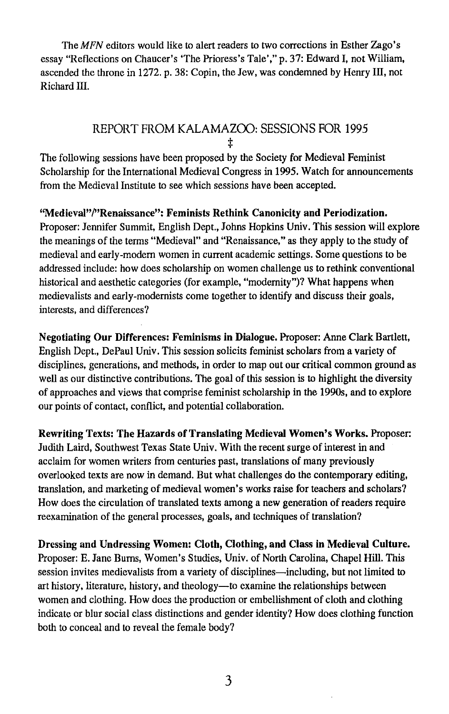The MFN editors would like to alert readers to two corrections in Esther Zago's essay "Reflections on Chaucer's 'The Prioress's Tale'," p. 37: Edward I, not William, ascended the throne in 1272. p. 38: Copin, the Jew, was condemned by Henry Ill, not Richard Ill.

#### REPORT FROM KALAMAZOO: SESSIONS FOR 1995 :j:

The following sessions have been proposed by the Society for Medieval Feminist Scholarship for the International Medieval Congress in 1995. Watch for announcements from the Medieval Institute to see which sessions have been accepted.

"Medieval"/"Renaissance": Feminists Rethink Canonicity and Periodization. Proposer: Jennifer Summit, English Dept., Johns Hopkins Univ. This session will explore the meanings of the terms "Medieval" and "Renaissance," as they apply to the study of medieval and early-modern women in current academic settings. Some questions to be addressed include: how does scholarship on women challenge us to rethink conventional historical and aesthetic categories (for example, "modernity")? What happens when medievalists and early-modernists come together to identify and discuss their goals, interests, and differences?

Negotiating Our Differences: Feminisms in Dialogue. Proposer: Anne Clark Bartlett, English Dept., DePaul Univ. This session solicits feminist scholars from a variety of disciplines, generations, and methods, in order to map out our critical common ground as well as our distinctive contributions. The goal of this session is to highlight the diversity of approaches and views that comprise feminist scholarship in the *19908,* and to explore our points of contact, conflict, and potential collaboration.

Rewriting Texts: The Hazards of Translating Medieval Women's Works. Proposer: Judith Laird, Southwest Texas State Univ. With the recent surge of interest in and acclaim for women writers from centuries past, translations of many previously overlooked texts are now in demand. But what challenges do the contemporary editing, translation, and marketing of medieval women's works raise for teachers and scholars? How does the circulation of translated texts among a new generation of readers require reexamination of the general processes, goals, and techniques of translation?

Dressing and Undressing Women: Cloth, Clothing, and Class in Medieval Culture. Proposer: E. Jane Bums, Women's Studies, Univ. of North Carolina, Chapel Hill. This session invites medievalists from a variety of disciplines—including, but not limited to art history, literature, history, and theology-to examine the relationships between women and clothing. How does the production or embellishment of cloth and clothing indicate or blur social class distinctions and gender identity? How does clothing function both to conceal and to reveal the female body?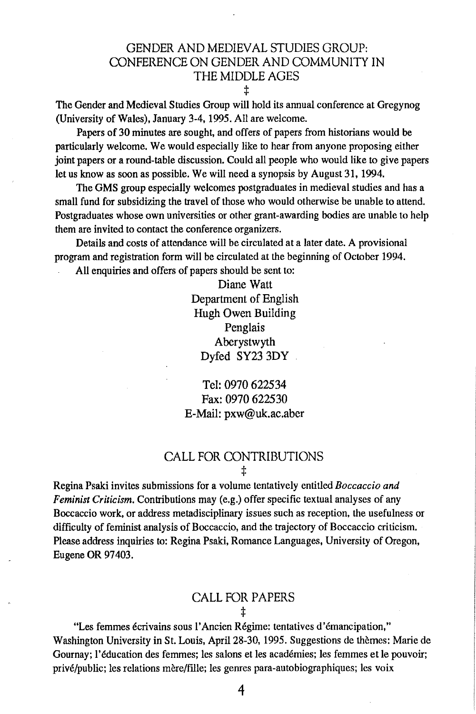### GENDER AND MEDIEY AL STUDIES GROUP: CONFERENCE ON GENDER AND COMMUNITY IN THE MIDDLE AGES

:j:

The Gender and Medieval Studies Group will hold its annual conference at Gregynog (University of Wales), January 3-4, 1995. All are welcome.

Papers of 30 minutes are sought, and offers of papers from historians would be particularly welcome. We would especially like to hear from anyone proposing either joint papers or a round-table discussion. Could all people who would like to give papers let us know as soon as possible. We will need a synopsis by August 31,1994.

The GMS group especially welcomes postgraduates in medieval studies and has a small fund for subsidizing the travel of those who would otherwise be unable to attend. Postgraduates whose own universities or other grant-awarding bodies are unable to help them are invited to contact the conference organizers.

Details and costs of attendance will be circulated at a later date. A provisional program and registration form will be circulated at the beginning of October 1994.

All enquiries and offers of papers should be sent to:

Diane Watt Department of English Hugh Owen Building Penglais Aberystwyth Dyfed SY23 3DY

Tel: 0970 622534 Fax: 0970 622530 E-Mail: pxw@uk.ac.aber

#### CALL FOR CONTRIBUTIONS :j:

Regina Psaki invites submissions for a volume tentatively entitled *Boccaccio and Feminist Criticism.* Contributions may (e.g.) offer specific textual analyses of any Boccaccio work, or address metadisciplinary issues such as reception, the usefulness or difficulty of feminist analysis of Boccaccio, and the trajectory of Boccaccio criticism. Please address inquiries to: Regina Psaki, Romance Languages, University of Oregon, Eugene OR 97403.

#### CALL FOR PAPERS :j:

"Les femmes ecrivains sous l'Ancien Regime: tentatives d'emancipation," Washington University in St. Louis, April 28-30, 1995. Suggestions de themes: Marie de Gournay; l'education des femmes; les salons et les academies; les femmes et Ie pouvoir; privé/public; les relations mère/fille; les genres para-autobiographiques; les voix

4